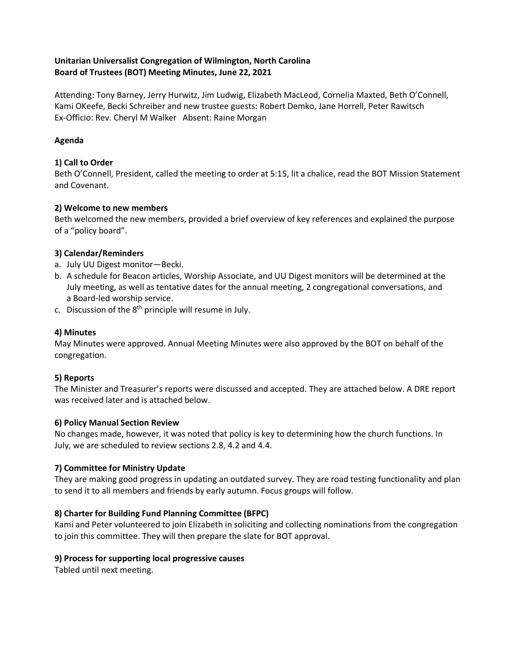# **Unitarian Universalist Congregation of Wilmington, North Carolina Board of Trustees (BOT) Meeting Minutes, June 22, 2021**

Attending: Tony Barney, Jerry Hurwitz, Jim Ludwig, Elizabeth MacLeod, Cornelia Maxted, Beth O'Connell, Kami OKeefe, Becki Schreiber and new trustee guests: Robert Demko, Jane Horrell, Peter Rawitsch Ex-Officio: Rev. Cheryl M Walker Absent: Raine Morgan

#### **Agenda**

#### **1) Call to Order**

Beth O'Connell, President, called the meeting to order at 5:15, lit a chalice, read the BOT Mission Statement and Covenant.

#### **2) Welcome to new members**

Beth welcomed the new members, provided a brief overview of key references and explained the purpose of a "policy board".

#### **3) Calendar/Reminders**

- a. July UU Digest monitor—Becki.
- b. A schedule for Beacon articles, Worship Associate, and UU Digest monitors will be determined at the July meeting, as well as tentative dates for the annual meeting, 2 congregational conversations, and a Board-led worship service.
- c. Discussion of the  $8<sup>th</sup>$  principle will resume in July.

#### **4) Minutes**

May Minutes were approved. Annual Meeting Minutes were also approved by the BOT on behalf of the congregation.

#### **5) Reports**

The Minister and Treasurer's reports were discussed and accepted. They are attached below. A DRE report was received later and is attached below.

#### **6) Policy Manual Section Review**

No changes made, however, it was noted that policy is key to determining how the church functions. In July, we are scheduled to review sections 2.8, 4.2 and 4.4.

# **7) Committee for Ministry Update**

They are making good progress in updating an outdated survey. They are road testing functionality and plan to send it to all members and friends by early autumn. Focus groups will follow.

# **8) Charter for Building Fund Planning Committee (BFPC)**

Kami and Peter volunteered to join Elizabeth in soliciting and collecting nominations from the congregation to join this committee. They will then prepare the slate for BOT approval.

#### **9) Process for supporting local progressive causes**

Tabled until next meeting.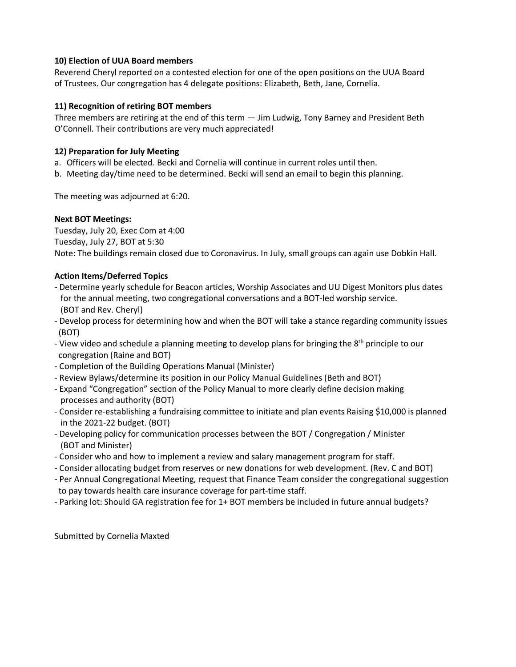#### **10) Election of UUA Board members**

Reverend Cheryl reported on a contested election for one of the open positions on the UUA Board of Trustees. Our congregation has 4 delegate positions: Elizabeth, Beth, Jane, Cornelia.

#### **11) Recognition of retiring BOT members**

Three members are retiring at the end of this term — Jim Ludwig, Tony Barney and President Beth O'Connell. Their contributions are very much appreciated!

#### **12) Preparation for July Meeting**

a. Officers will be elected. Becki and Cornelia will continue in current roles until then.

b. Meeting day/time need to be determined. Becki will send an email to begin this planning.

The meeting was adjourned at 6:20.

#### **Next BOT Meetings:**

Tuesday, July 20, Exec Com at 4:00 Tuesday, July 27, BOT at 5:30 Note: The buildings remain closed due to Coronavirus. In July, small groups can again use Dobkin Hall.

# **Action Items/Deferred Topics**

- Determine yearly schedule for Beacon articles, Worship Associates and UU Digest Monitors plus dates for the annual meeting, two congregational conversations and a BOT-led worship service. (BOT and Rev. Cheryl)
- Develop process for determining how and when the BOT will take a stance regarding community issues (BOT)
- View video and schedule a planning meeting to develop plans for bringing the 8<sup>th</sup> principle to our congregation (Raine and BOT)
- Completion of the Building Operations Manual (Minister)
- Review Bylaws/determine its position in our Policy Manual Guidelines (Beth and BOT)
- Expand "Congregation" section of the Policy Manual to more clearly define decision making processes and authority (BOT)
- Consider re-establishing a fundraising committee to initiate and plan events Raising \$10,000 is planned in the 2021-22 budget. (BOT)
- Developing policy for communication processes between the BOT / Congregation / Minister (BOT and Minister)
- Consider who and how to implement a review and salary management program for staff.
- Consider allocating budget from reserves or new donations for web development. (Rev. C and BOT)
- Per Annual Congregational Meeting, request that Finance Team consider the congregational suggestion to pay towards health care insurance coverage for part-time staff.
- Parking lot: Should GA registration fee for 1+ BOT members be included in future annual budgets?

Submitted by Cornelia Maxted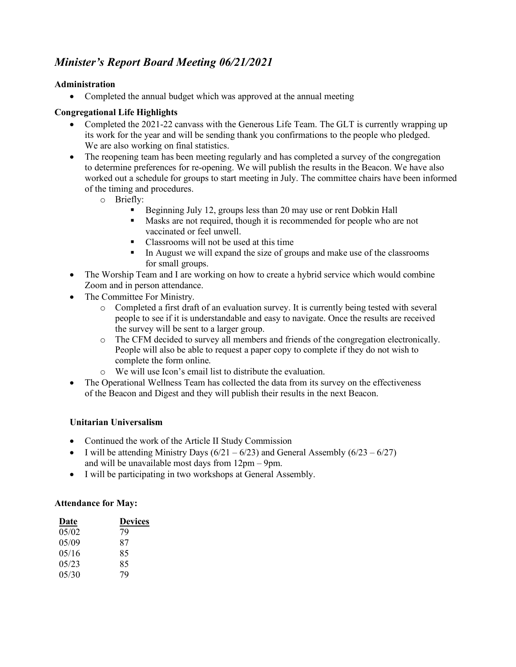# *Minister's Report Board Meeting 06/21/2021*

# **Administration**

• Completed the annual budget which was approved at the annual meeting

# **Congregational Life Highlights**

- Completed the 2021-22 canvass with the Generous Life Team. The GLT is currently wrapping up its work for the year and will be sending thank you confirmations to the people who pledged. We are also working on final statistics.
- The reopening team has been meeting regularly and has completed a survey of the congregation to determine preferences for re-opening. We will publish the results in the Beacon. We have also worked out a schedule for groups to start meeting in July. The committee chairs have been informed of the timing and procedures.
	- o Briefly:
		- § Beginning July 12, groups less than 20 may use or rent Dobkin Hall
		- Masks are not required, though it is recommended for people who are not vaccinated or feel unwell.
		- Classrooms will not be used at this time
		- In August we will expand the size of groups and make use of the classrooms for small groups.
- The Worship Team and I are working on how to create a hybrid service which would combine Zoom and in person attendance.
- The Committee For Ministry.
	- o Completed a first draft of an evaluation survey. It is currently being tested with several people to see if it is understandable and easy to navigate. Once the results are received the survey will be sent to a larger group.
	- o The CFM decided to survey all members and friends of the congregation electronically. People will also be able to request a paper copy to complete if they do not wish to complete the form online.
	- o We will use Icon's email list to distribute the evaluation.
- The Operational Wellness Team has collected the data from its survey on the effectiveness of the Beacon and Digest and they will publish their results in the next Beacon.

# **Unitarian Universalism**

- Continued the work of the Article II Study Commission
- I will be attending Ministry Days  $(6/21 6/23)$  and General Assembly  $(6/23 6/27)$ and will be unavailable most days from 12pm – 9pm.
- I will be participating in two workshops at General Assembly.

# **Attendance for May:**

| Date  | <b>Devices</b> |
|-------|----------------|
| 05/02 | 79             |
| 05/09 | 87             |
| 05/16 | 85             |
| 05/23 | 85             |
| 05/30 | 79             |
|       |                |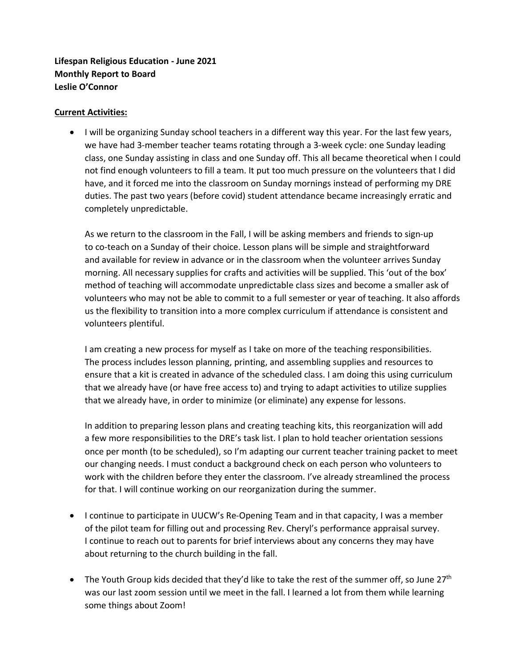**Lifespan Religious Education - June 2021 Monthly Report to Board Leslie O'Connor**

#### **Current Activities:**

• I will be organizing Sunday school teachers in a different way this year. For the last few years, we have had 3-member teacher teams rotating through a 3-week cycle: one Sunday leading class, one Sunday assisting in class and one Sunday off. This all became theoretical when I could not find enough volunteers to fill a team. It put too much pressure on the volunteers that I did have, and it forced me into the classroom on Sunday mornings instead of performing my DRE duties. The past two years (before covid) student attendance became increasingly erratic and completely unpredictable.

As we return to the classroom in the Fall, I will be asking members and friends to sign-up to co-teach on a Sunday of their choice. Lesson plans will be simple and straightforward and available for review in advance or in the classroom when the volunteer arrives Sunday morning. All necessary supplies for crafts and activities will be supplied. This 'out of the box' method of teaching will accommodate unpredictable class sizes and become a smaller ask of volunteers who may not be able to commit to a full semester or year of teaching. It also affords us the flexibility to transition into a more complex curriculum if attendance is consistent and volunteers plentiful.

I am creating a new process for myself as I take on more of the teaching responsibilities. The process includes lesson planning, printing, and assembling supplies and resources to ensure that a kit is created in advance of the scheduled class. I am doing this using curriculum that we already have (or have free access to) and trying to adapt activities to utilize supplies that we already have, in order to minimize (or eliminate) any expense for lessons.

In addition to preparing lesson plans and creating teaching kits, this reorganization will add a few more responsibilities to the DRE's task list. I plan to hold teacher orientation sessions once per month (to be scheduled), so I'm adapting our current teacher training packet to meet our changing needs. I must conduct a background check on each person who volunteers to work with the children before they enter the classroom. I've already streamlined the process for that. I will continue working on our reorganization during the summer.

- I continue to participate in UUCW's Re-Opening Team and in that capacity, I was a member of the pilot team for filling out and processing Rev. Cheryl's performance appraisal survey. I continue to reach out to parents for brief interviews about any concerns they may have about returning to the church building in the fall.
- The Youth Group kids decided that they'd like to take the rest of the summer off, so June  $27<sup>th</sup>$ was our last zoom session until we meet in the fall. I learned a lot from them while learning some things about Zoom!